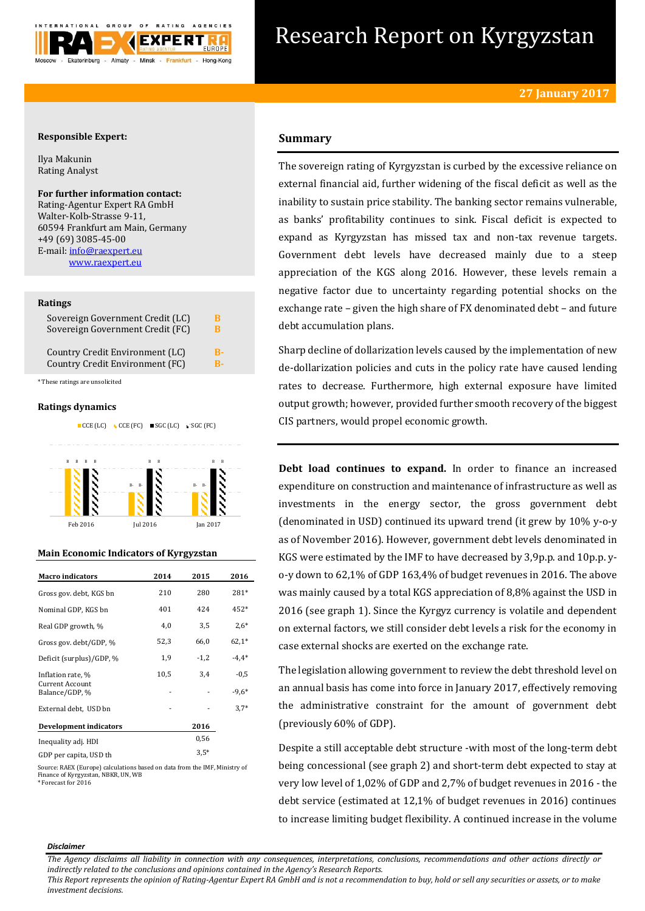

# Research Report on Kyrgyzstan

# **Responsible Expert:**

Ilya Makunin Rating Analyst

**For further information contact:** Rating-Agentur Expert RA GmbH Walter-Kolb-Strasse 9-11, 60594 Frankfurt am Main, Germany +49 (69) 3085-45-00 E-mail[: info@raexpert.eu](mailto:info@raexpert.eu) [www.raexpert.eu](http://raexpert.eu/)

## **Ratings**

| Sovereign Government Credit (LC) | В  |
|----------------------------------|----|
| Sovereign Government Credit (FC) | В  |
| Country Credit Environment (LC)  | R- |
| Country Credit Environment (FC)  | R- |

\* These ratings are unsolicited

## **Ratings dynamics**





# **Main Economic Indicators of Kyrgyzstan**

| <b>Macro</b> indicators                                | 2014 | 2015   | 2016              |
|--------------------------------------------------------|------|--------|-------------------|
| Gross gov. debt, KGS bn                                | 210  | 280    | $281*$            |
| Nominal GDP, KGS bn                                    | 401  | 424    | 452*              |
| Real GDP growth, %                                     | 4,0  | 3,5    | $2,6*$            |
| Gross gov. debt/GDP, %                                 | 52,3 | 66,0   | $62,1*$           |
| Deficit (surplus)/GDP, %                               | 1,9  | $-1,2$ | $-4.4*$           |
| Inflation rate, %<br>Current Account<br>Balance/GDP, % | 10,5 | 3,4    | $-0,5$<br>$-9,6*$ |
| External debt, USD bn                                  |      |        | $3.7*$            |
| Development indicators                                 |      | 2016   |                   |
| Inequality adj. HDI                                    |      | 0,56   |                   |
| GDP per capita, USD th                                 |      | $3.5*$ |                   |

Source: RAEX (Europe) calculations based on data from the IMF, Ministry of Finance of Kyrgyzstan, NBKR, UN, WB

\* Forecast for 2016

# **Summary**

The sovereign rating of Kyrgyzstan is curbed by the excessive reliance on external financial aid, further widening of the fiscal deficit as well as the inability to sustain price stability. The banking sector remains vulnerable, as banks' profitability continues to sink. Fiscal deficit is expected to expand as Kyrgyzstan has missed tax and non-tax revenue targets. Government debt levels have decreased mainly due to a steep appreciation of the KGS along 2016. However, these levels remain a negative factor due to uncertainty regarding potential shocks on the exchange rate – given the high share of FX denominated debt – and future debt accumulation plans.

Sharp decline of dollarization levels caused by the implementation of new de-dollarization policies and cuts in the policy rate have caused lending rates to decrease. Furthermore, high external exposure have limited output growth; however, provided further smooth recovery of the biggest CIS partners, would propel economic growth.

**Debt load continues to expand.** In order to finance an increased expenditure on construction and maintenance of infrastructure as well as investments in the energy sector, the gross government debt (denominated in USD) continued its upward trend (it grew by 10% y-o-y as of November 2016). However, government debt levels denominated in KGS were estimated by the IMF to have decreased by 3,9p.p. and 10p.p. yo-y down to 62,1% of GDP 163,4% of budget revenues in 2016. The above was mainly caused by a total KGS appreciation of 8,8% against the USD in 2016 (see graph 1). Since the Kyrgyz currency is volatile and dependent on external factors, we still consider debt levels a risk for the economy in case external shocks are exerted on the exchange rate.

The legislation allowing government to review the debt threshold level on an annual basis has come into force in January 2017, effectively removing the administrative constraint for the amount of government debt (previously 60% of GDP).

Despite a still acceptable debt structure -with most of the long-term debt being concessional (see graph 2) and short-term debt expected to stay at very low level of 1,02% of GDP and 2,7% of budget revenues in 2016 - the debt service (estimated at 12,1% of budget revenues in 2016) continues to increase limiting budget flexibility. A continued increase in the volume

#### *Disclaimer*

*This Report represents the opinion of Rating-Agentur Expert RA GmbH and is not a recommendation to buy, hold or sell any securities or assets, or to make investment decisions.*

*The Agency disclaims all liability in connection with any consequences, interpretations, conclusions, recommendations and other actions directly or indirectly related to the conclusions and opinions contained in the Agency's Research Reports.*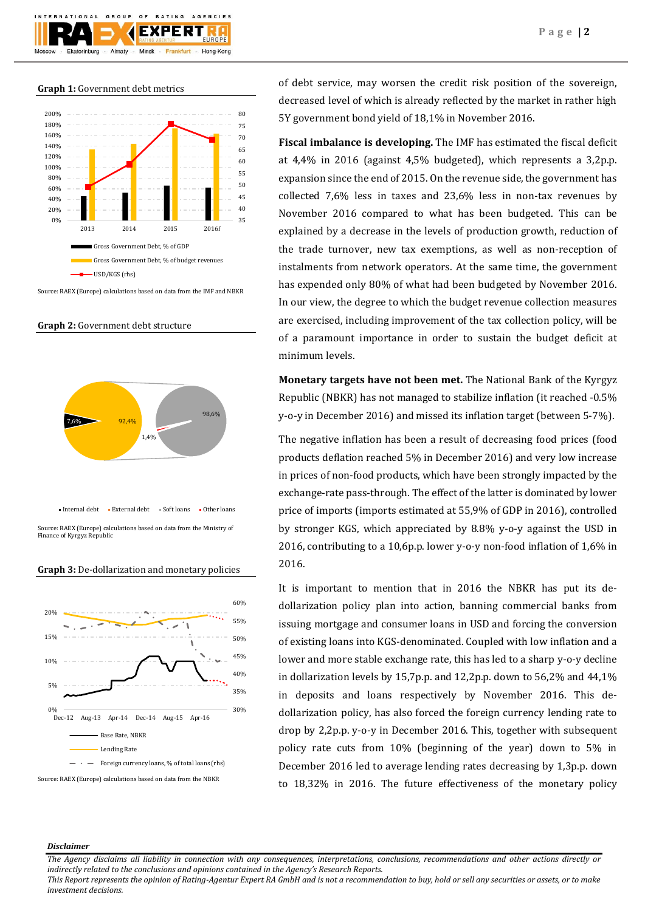

**Graph 1:** Government debt metrics



Source: RAEX (Europe) calculations based on data from the IMF and NBKR

**Graph 2:** Government debt structure



Source: RAEX (Europe) calculations based on data from the Ministry of Finance of Kyrgyz Republic Internal debt · External debt · Soft loans · Other loans

#### **Graph 3:** De-dollarization and monetary policies



Source: RAEX (Europe) calculations based on data from the NBKR

of debt service, may worsen the credit risk position of the sovereign, decreased level of which is already reflected by the market in rather high 5Y government bond yield of 18,1% in November 2016.

**Fiscal imbalance is developing.** The IMF has estimated the fiscal deficit at 4,4% in 2016 (against 4,5% budgeted), which represents a 3,2p.p. expansion since the end of 2015. On the revenue side, the government has collected 7,6% less in taxes and 23,6% less in non-tax revenues by November 2016 compared to what has been budgeted. This can be explained by a decrease in the levels of production growth, reduction of the trade turnover, new tax exemptions, as well as non-reception of instalments from network operators. At the same time, the government has expended only 80% of what had been budgeted by November 2016. In our view, the degree to which the budget revenue collection measures are exercised, including improvement of the tax collection policy, will be of a paramount importance in order to sustain the budget deficit at minimum levels.

**Monetary targets have not been met.** The National Bank of the Kyrgyz Republic (NBKR) has not managed to stabilize inflation (it reached -0.5% y-o-y in December 2016) and missed its inflation target (between 5-7%).

The negative inflation has been a result of decreasing food prices (food products deflation reached 5% in December 2016) and very low increase in prices of non-food products, which have been strongly impacted by the exchange-rate pass-through. The effect of the latter is dominated by lower price of imports (imports estimated at 55,9% of GDP in 2016), controlled by stronger KGS, which appreciated by 8.8% y-o-y against the USD in 2016, contributing to a 10,6p.p. lower y-o-y non-food inflation of 1,6% in 2016.

It is important to mention that in 2016 the NBKR has put its dedollarization policy plan into action, banning commercial banks from issuing mortgage and consumer loans in USD and forcing the conversion of existing loans into KGS-denominated. Coupled with low inflation and a lower and more stable exchange rate, this has led to a sharp y-o-y decline in dollarization levels by 15,7p.p. and 12,2p.p. down to 56,2% and 44,1% in deposits and loans respectively by November 2016. This dedollarization policy, has also forced the foreign currency lending rate to drop by 2,2p.p. y-o-y in December 2016. This, together with subsequent policy rate cuts from 10% (beginning of the year) down to 5% in December 2016 led to average lending rates decreasing by 1,3p.p. down to 18,32% in 2016. The future effectiveness of the monetary policy

## *Disclaimer*

*The Agency disclaims all liability in connection with any consequences, interpretations, conclusions, recommendations and other actions directly or indirectly related to the conclusions and opinions contained in the Agency's Research Reports.*

*This Report represents the opinion of Rating-Agentur Expert RA GmbH and is not a recommendation to buy, hold or sell any securities or assets, or to make investment decisions.*